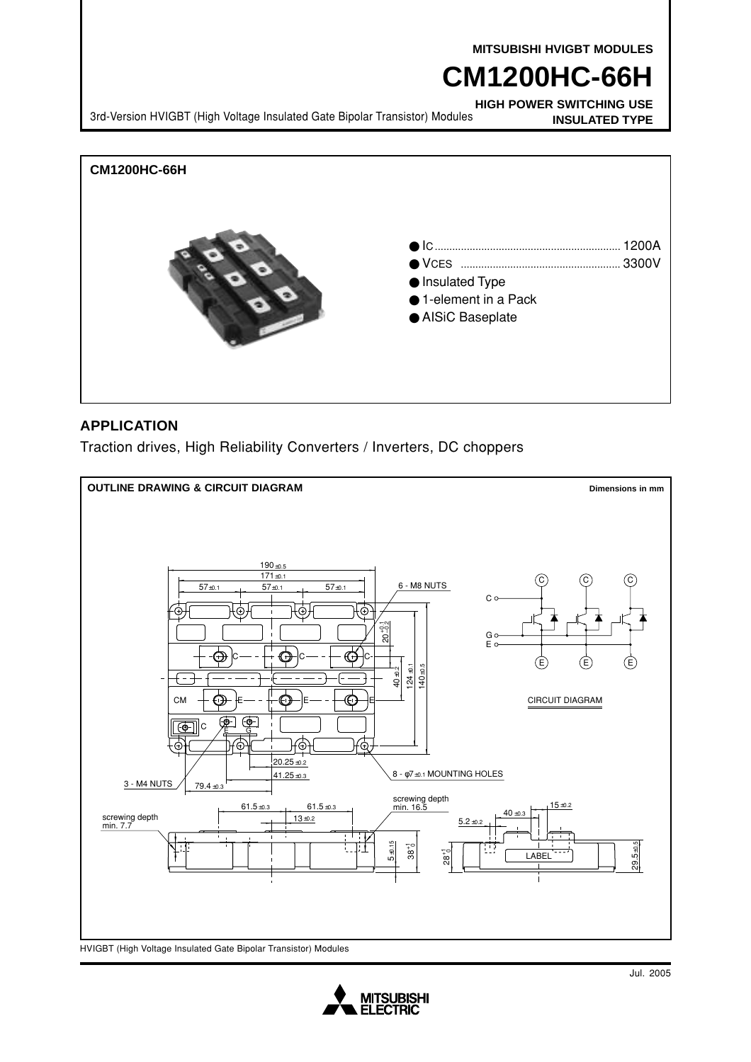**MITSUBISHI HVIGBT MODULES**

# **CM1200HC-66H**

**HIGH POWER SWITCHING USE INSULATED TYPE** 3rd-Version HVIGBT (High Voltage Insulated Gate Bipolar Transistor) Modules



### **APPLICATION**

Traction drives, High Reliability Converters / Inverters, DC choppers



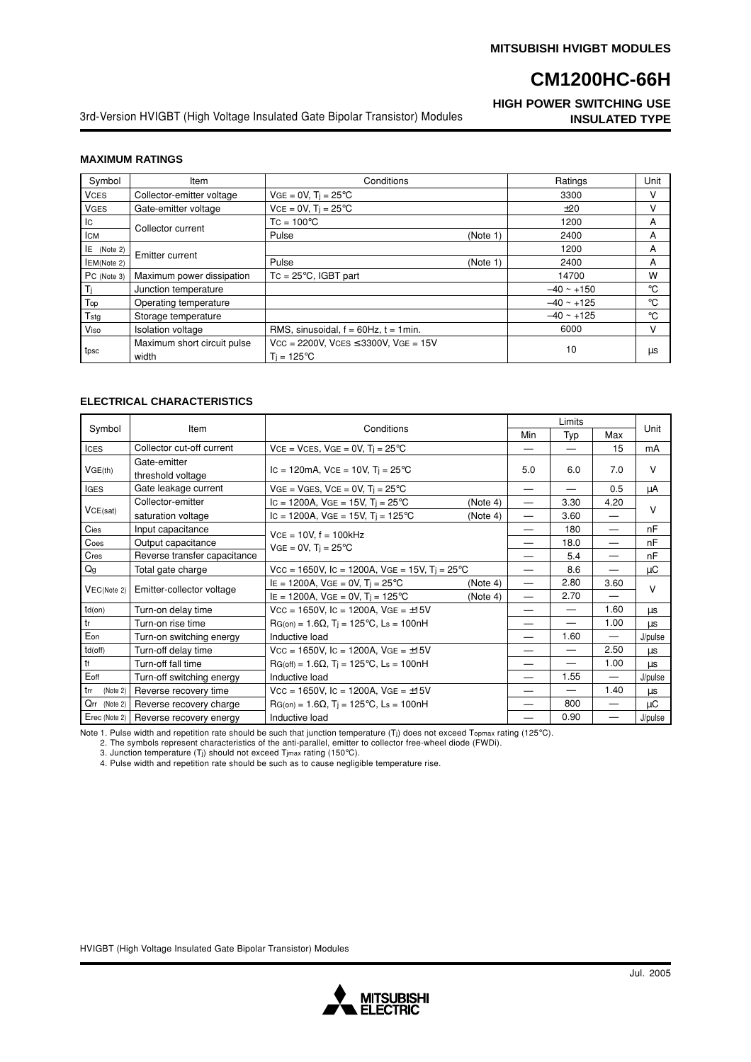**HIGH POWER SWITCHING USE INSULATED TYPE**

3rd-Version HVIGBT (High Voltage Insulated Gate Bipolar Transistor) Modules

#### **MAXIMUM RATINGS**

| Symbol              | Item                                 | Conditions                                                              |          | Ratings         | Unit |
|---------------------|--------------------------------------|-------------------------------------------------------------------------|----------|-----------------|------|
| <b>VCES</b>         | Collector-emitter voltage            | $VGE = 0V$ , $Ti = 25^{\circ}C$                                         |          | 3300            | v    |
| <b>VGES</b>         | Gate-emitter voltage                 | $VCE = 0V$ , $Ti = 25^{\circ}C$                                         |          | ±20             | v    |
| Iс                  | Collector current                    | $TC = 100^{\circ}C$                                                     |          | 1200            | A    |
| <b>ICM</b>          |                                      | Pulse                                                                   | (Note 1) | 2400            | A    |
| $E$ (Note 2)        | <b>Emitter current</b>               |                                                                         |          | 1200            | A    |
| <b>IEM</b> (Note 2) |                                      | Pulse                                                                   | (Note 1) | 2400            | A    |
| $PC$ (Note 3)       | Maximum power dissipation            | $TC = 25^{\circ}C$ . IGBT part                                          |          | 14700           | W    |
| Τj                  | Junction temperature                 |                                                                         |          | $-40 \sim +150$ | °C   |
| Top                 | Operating temperature                |                                                                         |          | $-40 \sim +125$ | °C   |
| T <sub>stg</sub>    | Storage temperature                  |                                                                         |          | $-40 \sim +125$ | °C   |
| Viso                | <b>Isolation voltage</b>             | RMS, sinusoidal, $f = 60$ Hz, $t = 1$ min.                              |          | 6000            | v    |
| tpsc                | Maximum short circuit pulse<br>width | $Vcc = 2200V$ , $Vces \leq 3300V$ , $VGE = 15V$<br>$T_i = 125^{\circ}C$ |          | 10              | μs   |

#### **ELECTRICAL CHARACTERISTICS**

| Symbol          | Item                              | Conditions                                                     |     | Limits     |                          |         |
|-----------------|-----------------------------------|----------------------------------------------------------------|-----|------------|--------------------------|---------|
|                 |                                   |                                                                |     | Min<br>Typ | Max                      | Unit    |
| <b>ICES</b>     | Collector cut-off current         | $VCE = VCES$ , $VGE = 0V$ , $Ti = 25^{\circ}C$                 |     |            | 15                       | mA      |
| VGE(th)         | Gate-emitter<br>threshold voltage | $IC = 120mA$ , $VCE = 10V$ , $Ti = 25°C$                       | 5.0 | 6.0        | 7.0                      | V       |
| <b>IGES</b>     | Gate leakage current              | $VGE = VGES$ , $VCE = 0V$ , $Ti = 25^{\circ}C$                 |     |            | 0.5                      | μA      |
|                 | Collector-emitter                 | IC = 1200A, VGE = 15V, $T_i = 25^{\circ}$ C<br>(Note 4)        |     | 3.30       | 4.20                     |         |
| VCE(sat)        | saturation voltage                | IC = 1200A, VGE = 15V, T <sub>i</sub> = 125°C<br>(Note 4)      |     | 3.60       | $\overline{\phantom{0}}$ | v       |
| Cies            | Input capacitance                 | $VCE = 10V$ , $f = 100kHz$<br>$VGE = 0V$ , $T_i = 25^{\circ}C$ |     | 180        | $\overline{\phantom{0}}$ | nF      |
| Coes            | Output capacitance                |                                                                |     | 18.0       | —                        | nF      |
| Cres            | Reverse transfer capacitance      |                                                                |     | 5.4        | $\overline{\phantom{0}}$ | nF      |
| Qg              | Total gate charge                 | $Vcc = 1650V$ , Ic = 1200A, VGE = 15V, Ti = 25°C               |     | 8.6        | $\overline{\phantom{0}}$ | μC      |
|                 | Emitter-collector voltage         | $IE = 1200A$ , $VGE = 0V$ , $T_i = 25^{\circ}C$<br>(Note 4)    |     | 2.80       | 3.60                     | v       |
| VEC(Note 2)     |                                   | $IE = 1200A$ , $VGE = 0V$ , $Ti = 125^{\circ}C$<br>(Note 4)    |     | 2.70       | $\overline{\phantom{0}}$ |         |
| td(on)          | Turn-on delay time                | $Vcc = 1650V$ , Ic = 1200A, VGE = $\pm 15V$                    |     |            | 1.60                     | μs      |
| tr              | Turn-on rise time                 | $RG(on) = 1.6\Omega$ , $Ti = 125^{\circ}C$ , $L_s = 100nH$     |     |            | 1.00                     | μs      |
| Eon             | Turn-on switching energy          | Inductive load                                                 | —   | 1.60       |                          | J/pulse |
| td(off)         | Turn-off delay time               | $Vcc = 1650V$ , Ic = 1200A, VGE = $\pm 15V$                    |     |            | 2.50                     | μs      |
| tf              | Turn-off fall time                | $RG(off) = 1.6\Omega$ , T <sub>i</sub> = 125°C, Ls = 100nH     |     |            | 1.00                     | μs      |
| Eoff            | Turn-off switching energy         | Inductive load                                                 |     | 1.55       |                          | J/pulse |
| trr<br>(Note 2) | Reverse recovery time             | $Vcc = 1650V$ , Ic = 1200A, VGE = $\pm 15V$                    |     |            | 1.40                     | μs      |
| Qrr (Note 2)    | Reverse recovery charge           | $RG(on) = 1.6\Omega$ , $Ti = 125^{\circ}C$ , $L_s = 100nH$     |     | 800        | $\overline{\phantom{0}}$ | иC      |
| Erec (Note 2)   | Reverse recovery energy           | Inductive load                                                 |     | 0.90       |                          | J/pulse |

Note 1. Pulse width and repetition rate should be such that junction temperature (Tj) does not exceed Topmax rating (125°C).<br>2. The symbols represent characteristics of the anti-parallel, emitter to collector free-wheel di

3. Junction temperature (Tj) should not exceed Tjmax rating (150°C). 4. Pulse width and repetition rate should be such as to cause negligible temperature rise.

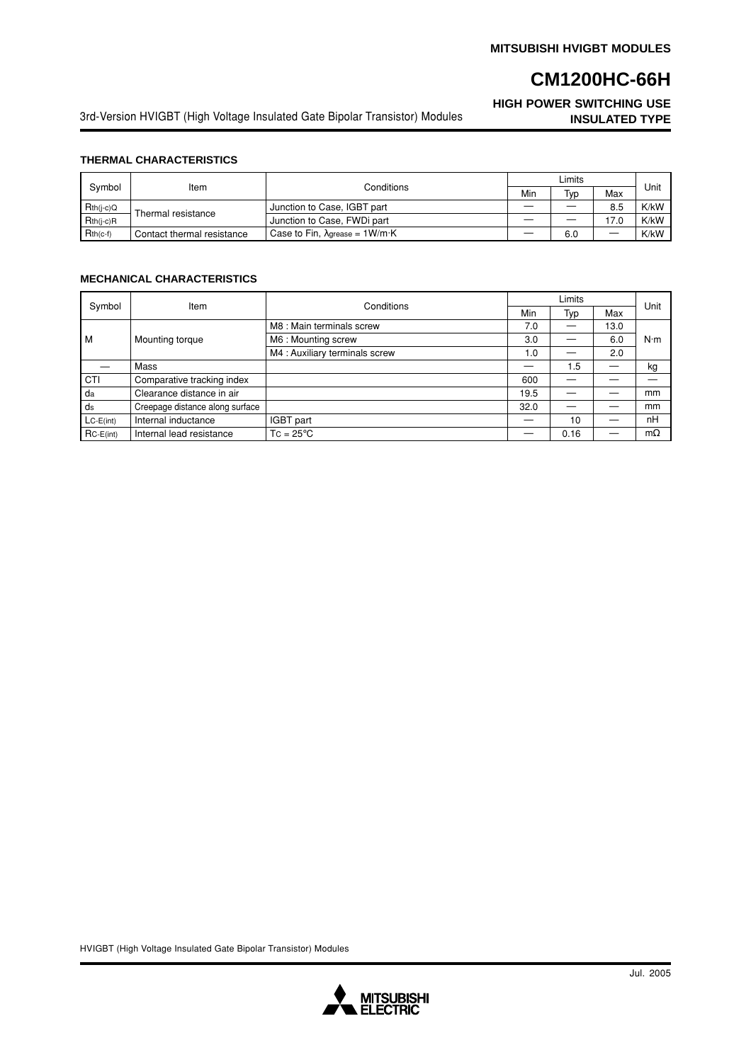## **HIGH POWER SWITCHING USE**

3rd-Version HVIGBT (High Voltage Insulated Gate Bipolar Transistor) Modules **INSULATED TYPE**

#### **THERMAL CHARACTERISTICS**

| Symbol      | Item                       | Conditions                             | Limits |     |      |      |
|-------------|----------------------------|----------------------------------------|--------|-----|------|------|
|             |                            |                                        | Min    | Typ | Max  | Unit |
| $Rth(j-c)Q$ | Thermal resistance         | Junction to Case, IGBT part            |        |     | 8.5  | K/kW |
| $Rth(i-c)R$ |                            | Junction to Case, FWDi part            |        |     | 17.0 | K/kW |
| $Rth(c-f)$  | Contact thermal resistance | Case to Fin, $\lambda$ grease = 1W/m·K |        | 6.0 |      | K/kW |

#### **MECHANICAL CHARACTERISTICS**

| Symbol      | Item                            | Conditions                     | Limits |      |                          |             |
|-------------|---------------------------------|--------------------------------|--------|------|--------------------------|-------------|
|             |                                 |                                | Min    | Typ  | Max                      | Unit        |
| M           | Mounting torque                 | M8 : Main terminals screw      | 7.0    |      | 13.0                     | $N \cdot m$ |
|             |                                 | M6 : Mounting screw            | 3.0    |      | 6.0                      |             |
|             |                                 | M4 : Auxiliary terminals screw | 1.0    |      | 2.0                      |             |
|             | Mass                            |                                |        | 1.5  | $\overline{\phantom{0}}$ | kg          |
| CTI         | Comparative tracking index      |                                | 600    |      |                          |             |
| da          | Clearance distance in air       |                                | 19.5   |      |                          | mm          |
| ds          | Creepage distance along surface |                                | 32.0   |      |                          | mm          |
| $LC-E(int)$ | Internal inductance             | IGBT part                      |        | 10   |                          | nH          |
| $RC-E(int)$ | Internal lead resistance        | $TC = 25^{\circ}C$             |        | 0.16 |                          | $m\Omega$   |

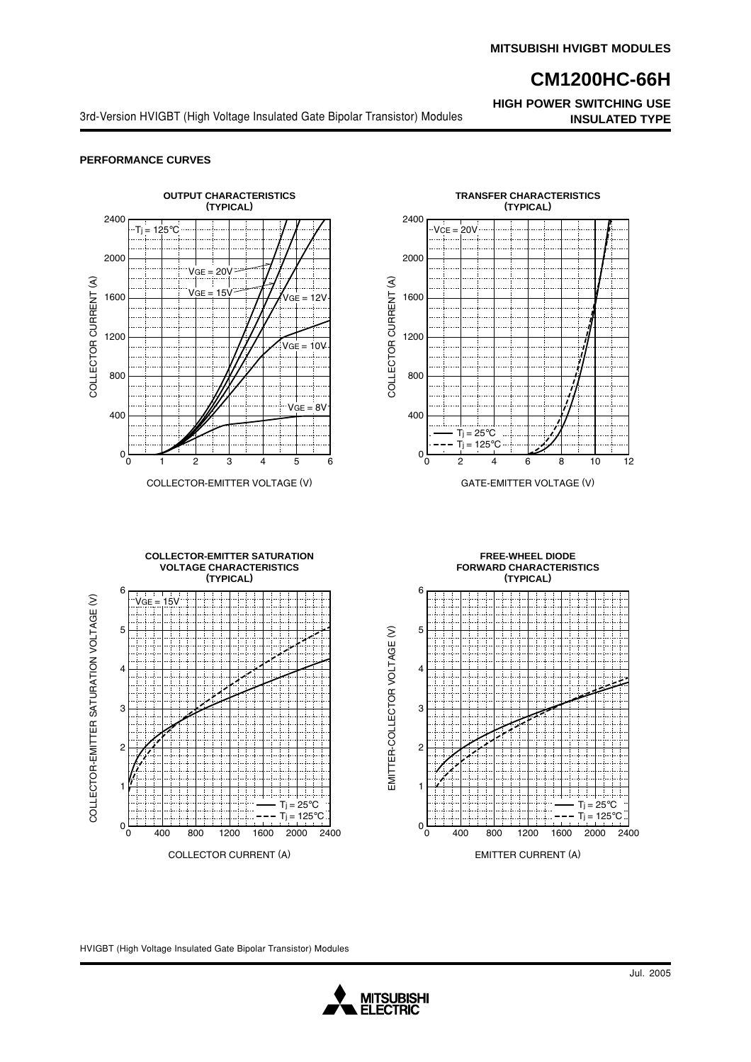**HIGH POWER SWITCHING USE**

3rd-Version HVIGBT (High Voltage Insulated Gate Bipolar Transistor) Modules **INSULATED TYPE** 

#### **PERFORMANCE CURVES**

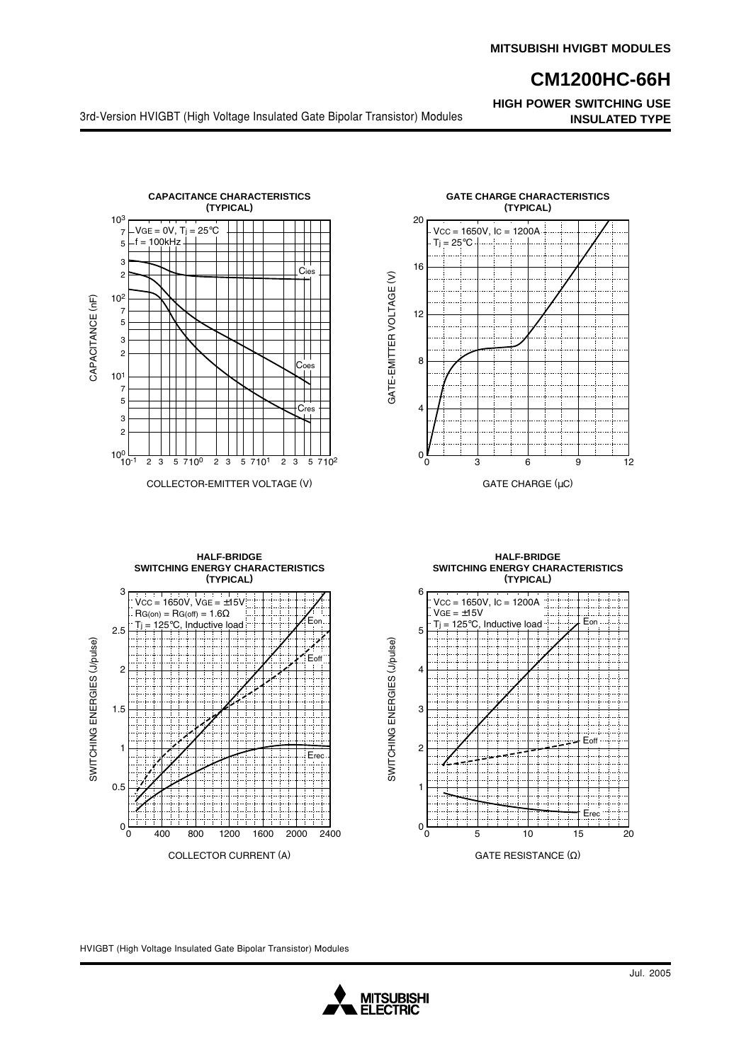**HIGH POWER SWITCHING USE**

3rd-Version HVIGBT (High Voltage Insulated Gate Bipolar Transistor) Modules **INSULATED TYPE**





**HALF-BRIDGE SWITCHING ENERGY CHARACTERISTICS (TYPICAL)**



**HALF-BRIDGE SWITCHING ENERGY CHARACTERISTICS (TYPICAL)**



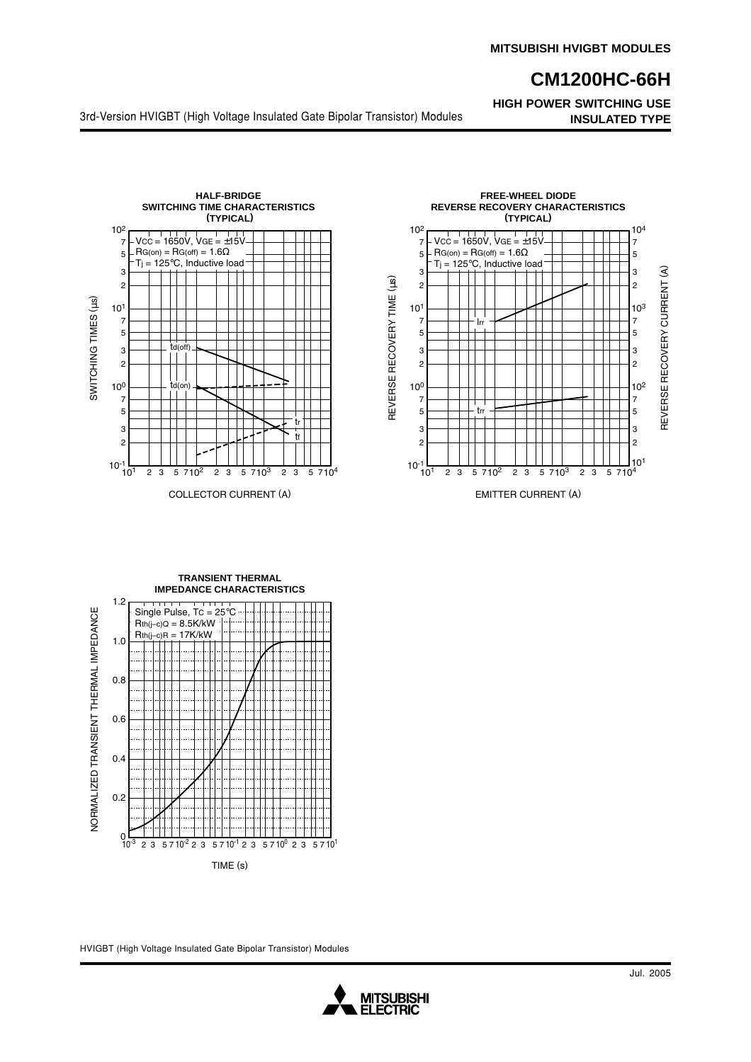**HIGH POWER SWITCHING USE**

3rd-Version HVIGBT (High Voltage Insulated Gate Bipolar Transistor) Modules **INSULATED TYPE**